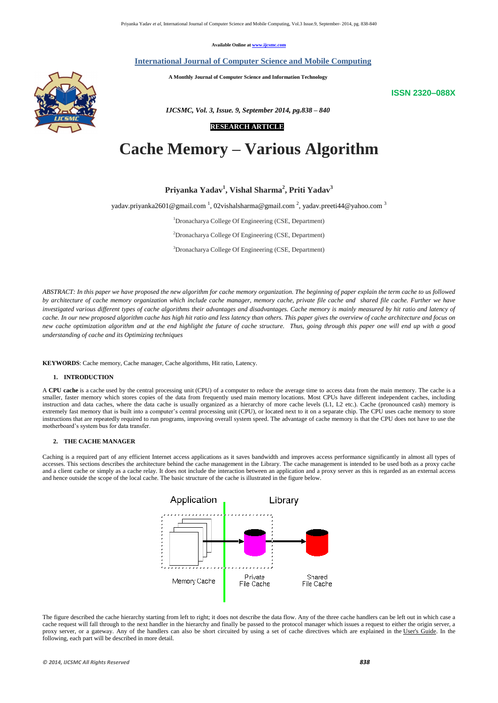*© 2014, IJCSMC All Rights Reserved 838*

**Available Online at www.ijcsmc.com**

## **International Journal of Computer Science and Mobile Computing**

 **A Monthly Journal of Computer Science and Information Technology**

**ISSN 2320–088X**



## **RESEARCH ARTICLE**

# **Cache Memory – Various Algorithm**

**Priyanka Yadav<sup>1</sup> , Vishal Sharma<sup>2</sup> , Priti Yadav<sup>3</sup>**

yadav.priyanka2601@gmail.com  $^1$ , 02vishalsharma@gmail.com  $^2$ , yadav.preeti44@yahoo.com  $^3$ 

<sup>1</sup>Dronacharya College Of Engineering (CSE, Department)

<sup>2</sup>Dronacharya College Of Engineering (CSE, Department)

<sup>3</sup>Dronacharya College Of Engineering (CSE, Department)

*ABSTRACT: In this paper we have proposed the new algorithm for cache memory organization. The beginning of paper explain the term cache to us followed by architecture of cache memory organization which include cache manager, memory cache, private file cache and shared file cache. Further we have investigated various different types of cache algorithms their advantages and disadvantages. Cache memory is mainly measured by hit ratio and latency of cache. In our new proposed algorithm cache has high hit ratio and less latency than others. This paper gives the overview of cache architecture and focus on new cache optimization algorithm and at the end highlight the future of cache structure. Thus, going through this paper one will end up with a good understanding of cache and its Optimizing techniques*

**KEYWORDS**: Cache memory, Cache manager, Cache algorithms, Hit ratio, Latency.

## **1. INTRODUCTION**

A **CPU cache** is a cache used by the central processing unit (CPU) of a computer to reduce the average time to access data from the main memory. The cache is a smaller, faster memory which stores copies of the data from frequently used main memory locations. Most CPUs have different independent caches, including instruction and data caches, where the data cache is usually organized as a hierarchy of more cache levels (L1, L2 etc.). Cache (pronounced cash) memory is extremely fast memory that is built into a computer's central processing unit (CPU), or located next to it on a separate chip. The CPU uses cache memory to store instructions that are repeatedly required to run programs, improving overall system speed. The advantage of cache memory is that the CPU does not have to use the motherboard's system bus for data transfer.

## **2. THE CACHE MANAGER**

Caching is a required part of any efficient Internet access applications as it saves bandwidth and improves access performance significantly in almost all types of accesses. This sections describes the architecture behind the cache management in the Library. The cache management is intended to be used both as a proxy cache and a client cache or simply as a cache relay. It does not include the interaction between an application and a proxy server as this is regarded as an external access and hence outside the scope of the local cache. The basic structure of the cache is illustrated in the figure below.







The figure described the cache hierarchy starting from left to right; it does not describe the data flow. Any of the three cache handlers can be left out in which case a cache request will fall through to the next handler in the hierarchy and finally be passed to the protocol manager which issues a request to either the origin server, a proxy server, or a gateway. Any of the handlers can also be short circuited by using a set of cache directives which are explained in the User's Guide. In the following, each part will be described in more detail.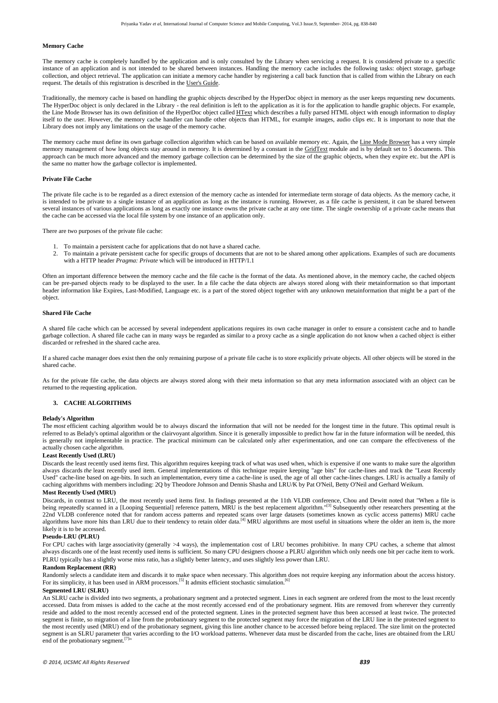*© 2014, IJCSMC All Rights Reserved 839*

## **Memory Cache**

The memory cache is completely handled by the application and is only consulted by the Library when servicing a request. It is considered private to a specific instance of an application and is not intended to be shared between instances. Handling the memory cache includes the following tasks: object storage, garbage collection, and object retrieval. The application can initiate a memory cache handler by registering a call back function that is called from within the Library on each request. The details of this registration is described in the [User's Guide.](http://www.w3.org/Library/User/Using/Cache.html)

The memory cache must define its own garbage collection algorithm which can be based on available memory etc. Again, the [Line Mode Browser](http://www.w3.org/LineMode/) has a very simple memory management of how long objects stay around in memory. It is determined by a constant in the [GridText](http://www.w3.org/LineMode/src/GridText.c) module and is by default set to 5 documents. This approach can be much more advanced and the memory garbage collection can be determined by the size of the graphic objects, when they expire etc. but the API is the same no matter how the garbage collector is implemented.

Traditionally, the memory cache is based on handling the graphic objects described by the HyperDoc object in memory as the user keeps requesting new documents. The HyperDoc object is only declared in the Library - the real definition is left to the application as it is for the application to handle graphic objects. For example, the Line Mode Browser has its own definition of the HyperDoc object called **[HText](http://www.w3.org/LineMode/src/GridText.html)** which describes a fully parsed HTML object with enough information to display itself to the user. However, the memory cache handler can handle other objects than HTML, for example images, audio clips etc. It is important to note that the Library does not imply any limitations on the usage of the memory cache.

## **Private File Cache**

The private file cache is to be regarded as a direct extension of the memory cache as intended for intermediate term storage of data objects. As the memory cache, it is intended to be private to a single instance of an application as long as the instance is running. However, as a file cache is persistent, it can be shared between several instances of various applications as long as exactly one instance owns the private cache at any one time. The single ownership of a private cache means that the cache can be accessed via the local file system by one instance of an application only.

There are two purposes of the private file cache:

- 1. To maintain a persistent cache for applications that do not have a shared cache.
- 2. To maintain a private persistent cache for specific groups of documents that are not to be shared among other applications. Examples of such are documents with a HTTP header *Pragma: Private* which will be introduced in HTTP/1.1

Often an important difference between the memory cache and the file cache is the format of the data. As mentioned above, in the memory cache, the cached objects can be pre-parsed objects ready to be displayed to the user. In a file cache the data objects are always stored along with their metainformation so that important header information like Expires, Last-Modified, Language etc. is a part of the stored object together with any unknown metainformation that might be a part of the object.

For [CPU caches](http://en.wikipedia.org/wiki/CPU_caches) with large [associativity](http://en.wikipedia.org/wiki/CPU_cache#Associativity) (generally >4 ways), the implementation cost of LRU becomes prohibitive. In many CPU caches, a scheme that almost always discards one of the least recently used items is sufficient. So many CPU designers choose a PLRU algorithm which only needs one bit per cache item to work. PLRU typically has a slightly worse miss ratio, has a slightly better latency, and uses slightly less power than LRU.

Randomly selects a candidate item and discards it to make space when necessary. This algorithm does not require keeping any information about the access history. For its simplicity, it has been used in [ARM processors.](http://en.wikipedia.org/wiki/ARM_architecture)<sup>[\[5\]](http://en.wikipedia.org/wiki/Cache_algorithms#cite_note-5)</sup> It admits efficient stochastic simulation.<sup>[\[6\]](http://en.wikipedia.org/wiki/Cache_algorithms#cite_note-6)</sup>

An SLRU cache is divided into two segments, a probationary segment and a protected segment. Lines in each segment are ordered from the most to the least recently accessed. Data from misses is added to the cache at the most recently accessed end of the probationary segment. Hits are removed from wherever they currently reside and added to the most recently accessed end of the protected segment. Lines in the protected segment have thus been accessed at least twice. The protected segment is finite, so migration of a line from the probationary segment to the protected segment may force the migration of the LRU line in the protected segment to the most recently used (MRU) end of the probationary segment, giving this line another chance to be accessed before being replaced. The size limit on the protected segment is an SLRU parameter that varies according to the I/O workload patterns. Whenever data must be discarded from the cache, lines are obtained from the LRU end of the probationary segment.<sup>[\[7\]](http://en.wikipedia.org/wiki/Cache_algorithms#cite_note-7)</sup>"

## **Shared File Cache**

A shared file cache which can be accessed by several independent applications requires its own cache manager in order to ensure a consistent cache and to handle garbage collection. A shared file cache can in many ways be regarded as similar to a proxy cache as a single application do not know when a cached object is either discarded or refreshed in the shared cache area.

If a shared cache manager does exist then the only remaining purpose of a private file cache is to store explicitly private objects. All other objects will be stored in the shared cache.

As for the private file cache, the data objects are always stored along with their meta information so that any meta information associated with an object can be returned to the requesting application.

## **3. CACHE ALGORITHMS**

## **Belady's Algorithm**

The *most* efficient caching algorithm would be to always discard the information that will not be needed for the longest time in the future. This optimal result is referred to as Belady's optimal algorithm or [the clairvoyant algorithm.](http://en.wikipedia.org/wiki/Page_replacement_algorithm#The_theoretically_optimal_page_replacement_algorithm) Since it is generally impossible to predict how far in the future information will be needed, this is generally not implementable in practice. The practical minimum can be calculated only after experimentation, and one can compare the effectiveness of the actually chosen cache algorithm.

## **Least Recently Used (LRU)**

Discards the least recently used items first. This algorithm requires keeping track of what was used when, which is expensive if one wants to make sure the algorithm always discards *the* least recently used item. General implementations of this technique require keeping "age bits" for cache-lines and track the "Least Recently Used" cache-line based on age-bits. In such an implementation, every time a cache-line is used, the age of all other cache-lines changes. LRU is actually [a family of](http://en.wikipedia.org/wiki/Page_replacement_algorithm#Variants_on_LRU)  [caching algorithms](http://en.wikipedia.org/wiki/Page_replacement_algorithm#Variants_on_LRU) with members including: [2Q](http://www.vldb.org/conf/1994/P439.PDF) by Theodore Johnson and Dennis Shasha and LRU/K by Pat O'Neil, Betty O'Neil and Gerhard Weikum.

## **Most Recently Used (MRU)**

Discards, in contrast to LRU, the most recently used items first. In findings presented at the 11th VLDB conference, Chou and Dewitt noted that "When a file is being repeatedly scanned in a [Looping Sequential] reference pattern, MRU is the best replacement algorithm."<sup>[\[3\]](http://en.wikipedia.org/wiki/Cache_algorithms#cite_note-3)</sup> Subsequently other researchers presenting at the 22nd VLDB conference noted that for random access patterns and repeated scans over large datasets (sometimes known as cyclic access patterns) MRU cache algorithms have more hits than LRU due to their tendency to retain older data.<sup>[\[4\]](http://en.wikipedia.org/wiki/Cache_algorithms#cite_note-4)</sup> MRU algorithms are most useful in situations where the older an item is, the more likely it is to be accessed.

## **[Pseudo-LRU](http://en.wikipedia.org/wiki/Pseudo-LRU) (PLRU)**

## **Random Replacement (RR)**

## **Segmented LRU (SLRU)**